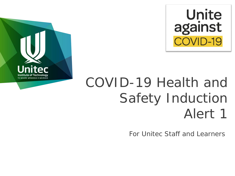



# COVID-19 Health and Safety Induction Alert 1

For Unitec Staff and Learners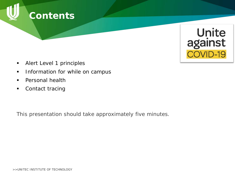



- **Alert Level 1 principles**
- **Information for while on campus**
- **Personal health**
- Contact tracing

*This presentation should take approximately five minutes.*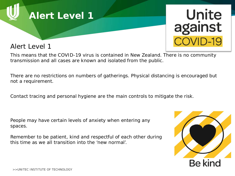

#### Alert Level 1



This means that the COVID-19 virus is contained in New Zealand. There is no community transmission and all cases are known and isolated from the public.

There are no restrictions on numbers of gatherings. Physical distancing is encouraged but not a requirement.

Contact tracing and personal hygiene are the main controls to mitigate the risk.

People may have certain levels of anxiety when entering any spaces.

Remember to be patient, kind and respectful of each other during this time as we all transition into the 'new normal'.

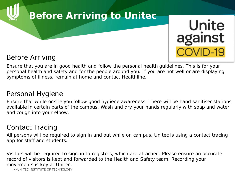## **Before Arriving to Unitec**

# Unite against COVID-19

#### Before Arriving

Ensure that you are in good health and follow the personal health guidelines. This is for your personal health and safety and for the people around you. If you are not well or are displaying symptoms of illness, remain at home and contact Healthline.

#### Personal Hygiene

Ensure that while onsite you follow good hygiene awareness. There will be hand sanitiser stations available in certain parts of the campus. Wash and dry your hands regularly with soap and water and cough into your elbow.

#### Contact Tracing

All persons will be required to sign in and out while on campus. Unitec is using a contact tracing app for staff and students.

Visitors will be required to sign-in to registers, which are attached. Please ensure an accurate record of visitors is kept and forwarded to the Health and Safety team. Recording your movements is key at Unitec.

>>UNITEC INSTITUTE OF TECHNOLOGY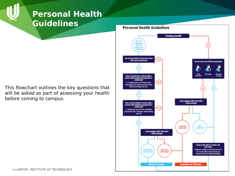### **Personal Health Guidelines**

This flowchart outlines the key questions that will be asked as part of assessing your health before coming to campus.

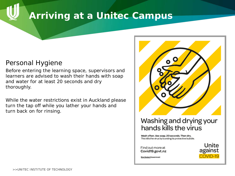### **Arriving at a Unitec Campus**

#### Personal Hygiene

Before entering the learning space, supervisors and learners are advised to wash their hands with soap and water for at least 20 seconds and dry thoroughly.

While the water restrictions exist in Auckland please turn the tap off while you lather your hands and turn back on for rinsing.



#### Washing and drying your hands kills the virus

Wash often. Use soap. 20 seconds. Then dry. This kills the virus by bursting its protective bubble.

Find out more at Covid19.govt.nz

Unite against COVID-19

New Zealand Government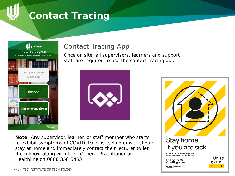### **Contact Tracing**



### Contact Tracing App

Once on site, all supervisors, learners and support staff are required to use the contact tracing app.



**Note**: Any supervisor, learner, or staff member who starts to exhibit symptoms of COVID-19 or is feeling unwell should stay at home and immediately contact their lecturer to let them know along with their General Practitioner or Healthline on 0800 358 5453.



COVID-19

Covid19.govt.nz New Zealand Government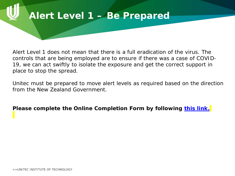# **Alert Level 1 – Be Prepared**

Alert Level 1 does not mean that there is a full eradication of the virus. The controls that are being employed are to ensure if there was a case of COVID-19, we can act swiftly to isolate the exposure and get the correct support in place to stop the spread.

Unitec must be prepared to move alert levels as required based on the direction from the New Zealand Government.

**Please complete the Online Completion Form by following [this link.](https://unitec.wufoo.com/forms/z1ib66w11wqtjk8/)**